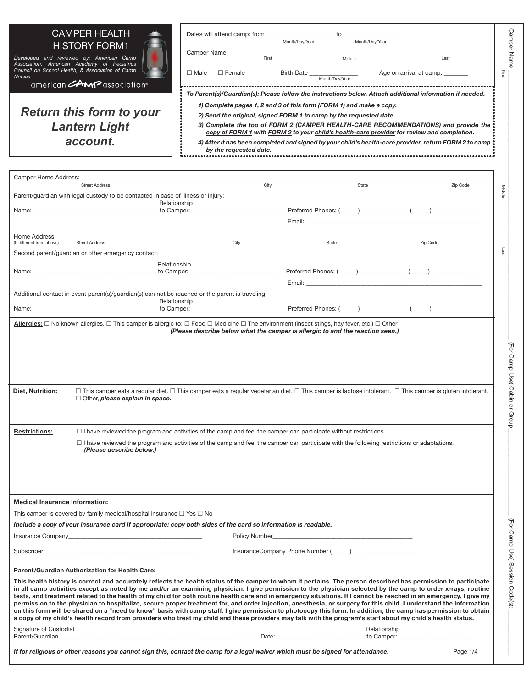| <b>CAMPER HEALTH</b><br><b>HISTORY FORM1</b><br>Developed and reviewed by: American Camp<br>Association, American Academy of Pediatrics<br>Council on School Health, & Association of Camp<br><b>Nurses</b><br>american <b>CAMP</b> association®<br><b>Return this form to your</b><br><b>Lantern Light</b><br>account.                                                                                                                                                                                                                                                                                                                                                                                                                                                                                                                                                                                                                                                                                                              | Dates will attend camp: from<br>Camper Name: _____<br>First<br>$\Box$ Male $\Box$ Female<br>To Parent(s)/Guardian(s): Please follow the instructions below. Attach additional information if needed.<br>1) Complete pages 1, 2 and 3 of this form (FORM 1) and make a copy.<br>2) Send the original, signed FORM 1 to camp by the requested date.<br>3) Complete the top of FORM 2 (CAMPER HEALTH-CARE RECOMMENDATIONS) and provide the<br>copy of FORM 1 with FORM 2 to your child's health-care provider for review and completion.<br>4) After it has been completed and signed by your child's health-care provider, return FORM 2 to camp<br>by the requested date. | to<br>Month/Day/Year                                                                                                                                                                                                           | Month/Day/Year<br>Middle | Last<br>Age on arrival at camp: _______                                                                                                                                                                                        | <b>Camper Name</b><br>Eirst                              |
|--------------------------------------------------------------------------------------------------------------------------------------------------------------------------------------------------------------------------------------------------------------------------------------------------------------------------------------------------------------------------------------------------------------------------------------------------------------------------------------------------------------------------------------------------------------------------------------------------------------------------------------------------------------------------------------------------------------------------------------------------------------------------------------------------------------------------------------------------------------------------------------------------------------------------------------------------------------------------------------------------------------------------------------|--------------------------------------------------------------------------------------------------------------------------------------------------------------------------------------------------------------------------------------------------------------------------------------------------------------------------------------------------------------------------------------------------------------------------------------------------------------------------------------------------------------------------------------------------------------------------------------------------------------------------------------------------------------------------|--------------------------------------------------------------------------------------------------------------------------------------------------------------------------------------------------------------------------------|--------------------------|--------------------------------------------------------------------------------------------------------------------------------------------------------------------------------------------------------------------------------|----------------------------------------------------------|
| Camper Home Address:                                                                                                                                                                                                                                                                                                                                                                                                                                                                                                                                                                                                                                                                                                                                                                                                                                                                                                                                                                                                                 |                                                                                                                                                                                                                                                                                                                                                                                                                                                                                                                                                                                                                                                                          |                                                                                                                                                                                                                                |                          |                                                                                                                                                                                                                                |                                                          |
| <b>Street Address</b>                                                                                                                                                                                                                                                                                                                                                                                                                                                                                                                                                                                                                                                                                                                                                                                                                                                                                                                                                                                                                | City                                                                                                                                                                                                                                                                                                                                                                                                                                                                                                                                                                                                                                                                     |                                                                                                                                                                                                                                | State                    |                                                                                                                                                                                                                                | Zip Code<br>Middle                                       |
| Parent/guardian with legal custody to be contacted in case of illness or injury:                                                                                                                                                                                                                                                                                                                                                                                                                                                                                                                                                                                                                                                                                                                                                                                                                                                                                                                                                     | Relationship                                                                                                                                                                                                                                                                                                                                                                                                                                                                                                                                                                                                                                                             |                                                                                                                                                                                                                                |                          |                                                                                                                                                                                                                                |                                                          |
| Name: Name: 2008 and 2008 and 2008 and 2008 and 2008 and 2008 and 2008 and 2008 and 2008 and 2008 and 2008 and 2008 and 2008 and 2008 and 2008 and 2008 and 2008 and 2008 and 2008 and 2008 and 2008 and 2008 and 2008 and 200                                                                                                                                                                                                                                                                                                                                                                                                                                                                                                                                                                                                                                                                                                                                                                                                       |                                                                                                                                                                                                                                                                                                                                                                                                                                                                                                                                                                                                                                                                          |                                                                                                                                                                                                                                |                          | Preferred Phones: (Campbell 2014)                                                                                                                                                                                              |                                                          |
|                                                                                                                                                                                                                                                                                                                                                                                                                                                                                                                                                                                                                                                                                                                                                                                                                                                                                                                                                                                                                                      |                                                                                                                                                                                                                                                                                                                                                                                                                                                                                                                                                                                                                                                                          | Email:                                                                                                                                                                                                                         |                          |                                                                                                                                                                                                                                |                                                          |
| Home Address:                                                                                                                                                                                                                                                                                                                                                                                                                                                                                                                                                                                                                                                                                                                                                                                                                                                                                                                                                                                                                        |                                                                                                                                                                                                                                                                                                                                                                                                                                                                                                                                                                                                                                                                          |                                                                                                                                                                                                                                |                          |                                                                                                                                                                                                                                |                                                          |
| (If different from above)<br><b>Street Address</b>                                                                                                                                                                                                                                                                                                                                                                                                                                                                                                                                                                                                                                                                                                                                                                                                                                                                                                                                                                                   | City                                                                                                                                                                                                                                                                                                                                                                                                                                                                                                                                                                                                                                                                     | State                                                                                                                                                                                                                          |                          | Zip Code                                                                                                                                                                                                                       | Last                                                     |
| Second parent/quardian or other emergency contact:                                                                                                                                                                                                                                                                                                                                                                                                                                                                                                                                                                                                                                                                                                                                                                                                                                                                                                                                                                                   |                                                                                                                                                                                                                                                                                                                                                                                                                                                                                                                                                                                                                                                                          |                                                                                                                                                                                                                                |                          |                                                                                                                                                                                                                                |                                                          |
| Name:                                                                                                                                                                                                                                                                                                                                                                                                                                                                                                                                                                                                                                                                                                                                                                                                                                                                                                                                                                                                                                | Relationship<br>to Camper: __________________                                                                                                                                                                                                                                                                                                                                                                                                                                                                                                                                                                                                                            | $Preferred$ Phones: $(\_\_\_\_\_\_\_\_\_$                                                                                                                                                                                      |                          |                                                                                                                                                                                                                                |                                                          |
|                                                                                                                                                                                                                                                                                                                                                                                                                                                                                                                                                                                                                                                                                                                                                                                                                                                                                                                                                                                                                                      |                                                                                                                                                                                                                                                                                                                                                                                                                                                                                                                                                                                                                                                                          |                                                                                                                                                                                                                                |                          | Email: Email: All and the state of the state of the state of the state of the state of the state of the state of the state of the state of the state of the state of the state of the state of the state of the state of the s |                                                          |
| Additional contact in event parent(s)/guardian(s) can not be reached or the parent is traveling:                                                                                                                                                                                                                                                                                                                                                                                                                                                                                                                                                                                                                                                                                                                                                                                                                                                                                                                                     |                                                                                                                                                                                                                                                                                                                                                                                                                                                                                                                                                                                                                                                                          |                                                                                                                                                                                                                                |                          |                                                                                                                                                                                                                                |                                                          |
|                                                                                                                                                                                                                                                                                                                                                                                                                                                                                                                                                                                                                                                                                                                                                                                                                                                                                                                                                                                                                                      | Relationship<br>to Camper: (2002) [2012] Preferred Phones: (2003) [2012] [2012] [2012] [2012] [2012] [2012] [2012] [2012] [20                                                                                                                                                                                                                                                                                                                                                                                                                                                                                                                                            |                                                                                                                                                                                                                                |                          |                                                                                                                                                                                                                                |                                                          |
| Name:                                                                                                                                                                                                                                                                                                                                                                                                                                                                                                                                                                                                                                                                                                                                                                                                                                                                                                                                                                                                                                |                                                                                                                                                                                                                                                                                                                                                                                                                                                                                                                                                                                                                                                                          |                                                                                                                                                                                                                                |                          |                                                                                                                                                                                                                                |                                                          |
| <b>Diet. Nutrition:</b><br>$\Box$ Other, please explain in space.                                                                                                                                                                                                                                                                                                                                                                                                                                                                                                                                                                                                                                                                                                                                                                                                                                                                                                                                                                    | $\Box$ This camper eats a regular diet. $\Box$ This camper eats a regular vegetarian diet. $\Box$ This camper is lactose intolerant. $\Box$ This camper is gluten intolerant.                                                                                                                                                                                                                                                                                                                                                                                                                                                                                            |                                                                                                                                                                                                                                |                          |                                                                                                                                                                                                                                | (For Camp Use)<br>Cabin<br>$\breve{\mathsf{a}}$<br>Group |
| <b>Restrictions:</b>                                                                                                                                                                                                                                                                                                                                                                                                                                                                                                                                                                                                                                                                                                                                                                                                                                                                                                                                                                                                                 | $\Box$ I have reviewed the program and activities of the camp and feel the camper can participate without restrictions.                                                                                                                                                                                                                                                                                                                                                                                                                                                                                                                                                  |                                                                                                                                                                                                                                |                          |                                                                                                                                                                                                                                |                                                          |
| (Please describe below.)                                                                                                                                                                                                                                                                                                                                                                                                                                                                                                                                                                                                                                                                                                                                                                                                                                                                                                                                                                                                             | $\Box$ I have reviewed the program and activities of the camp and feel the camper can participate with the following restrictions or adaptations.                                                                                                                                                                                                                                                                                                                                                                                                                                                                                                                        |                                                                                                                                                                                                                                |                          |                                                                                                                                                                                                                                |                                                          |
| <b>Medical Insurance Information:</b>                                                                                                                                                                                                                                                                                                                                                                                                                                                                                                                                                                                                                                                                                                                                                                                                                                                                                                                                                                                                |                                                                                                                                                                                                                                                                                                                                                                                                                                                                                                                                                                                                                                                                          |                                                                                                                                                                                                                                |                          |                                                                                                                                                                                                                                |                                                          |
| This camper is covered by family medical/hospital insurance $\square$ Yes $\square$ No                                                                                                                                                                                                                                                                                                                                                                                                                                                                                                                                                                                                                                                                                                                                                                                                                                                                                                                                               |                                                                                                                                                                                                                                                                                                                                                                                                                                                                                                                                                                                                                                                                          |                                                                                                                                                                                                                                |                          |                                                                                                                                                                                                                                |                                                          |
| Include a copy of your insurance card if appropriate; copy both sides of the card so information is readable.                                                                                                                                                                                                                                                                                                                                                                                                                                                                                                                                                                                                                                                                                                                                                                                                                                                                                                                        |                                                                                                                                                                                                                                                                                                                                                                                                                                                                                                                                                                                                                                                                          |                                                                                                                                                                                                                                |                          |                                                                                                                                                                                                                                |                                                          |
|                                                                                                                                                                                                                                                                                                                                                                                                                                                                                                                                                                                                                                                                                                                                                                                                                                                                                                                                                                                                                                      |                                                                                                                                                                                                                                                                                                                                                                                                                                                                                                                                                                                                                                                                          | Policy Number 2008 and 2009 and 2009 and 2009 and 2009 and 2009 and 2009 and 2009 and 2009 and 2009 and 2009 and 2009 and 2009 and 2009 and 2009 and 2009 and 2009 and 2009 and 2009 and 2009 and 2009 and 2009 and 2009 and 2 |                          |                                                                                                                                                                                                                                |                                                          |
|                                                                                                                                                                                                                                                                                                                                                                                                                                                                                                                                                                                                                                                                                                                                                                                                                                                                                                                                                                                                                                      |                                                                                                                                                                                                                                                                                                                                                                                                                                                                                                                                                                                                                                                                          |                                                                                                                                                                                                                                |                          |                                                                                                                                                                                                                                |                                                          |
| Subscriber                                                                                                                                                                                                                                                                                                                                                                                                                                                                                                                                                                                                                                                                                                                                                                                                                                                                                                                                                                                                                           |                                                                                                                                                                                                                                                                                                                                                                                                                                                                                                                                                                                                                                                                          | InsuranceCompany Phone Number (Company 2014)                                                                                                                                                                                   |                          |                                                                                                                                                                                                                                |                                                          |
| Parent/Guardian Authorization for Health Care:                                                                                                                                                                                                                                                                                                                                                                                                                                                                                                                                                                                                                                                                                                                                                                                                                                                                                                                                                                                       |                                                                                                                                                                                                                                                                                                                                                                                                                                                                                                                                                                                                                                                                          |                                                                                                                                                                                                                                |                          |                                                                                                                                                                                                                                |                                                          |
| This health history is correct and accurately reflects the health status of the camper to whom it pertains. The person described has permission to participate<br>in all camp activities except as noted by me and/or an examining physician. I give permission to the physician selected by the camp to order x-rays, routine<br>tests, and treatment related to the health of my child for both routine health care and in emergency situations. If I cannot be reached in an emergency, I give my<br>permission to the physician to hospitalize, secure proper treatment for, and order injection, anesthesia, or surgery for this child. I understand the information<br>on this form will be shared on a "need to know" basis with camp staff. I give permission to photocopy this form. In addition, the camp has permission to obtain<br>a copy of my child's health record from providers who treat my child and these providers may talk with the program's staff about my child's health status.<br>Signature of Custodial |                                                                                                                                                                                                                                                                                                                                                                                                                                                                                                                                                                                                                                                                          |                                                                                                                                                                                                                                | Relationship             |                                                                                                                                                                                                                                | (For Camp Use) Session Code(s):                          |
|                                                                                                                                                                                                                                                                                                                                                                                                                                                                                                                                                                                                                                                                                                                                                                                                                                                                                                                                                                                                                                      |                                                                                                                                                                                                                                                                                                                                                                                                                                                                                                                                                                                                                                                                          |                                                                                                                                                                                                                                |                          |                                                                                                                                                                                                                                |                                                          |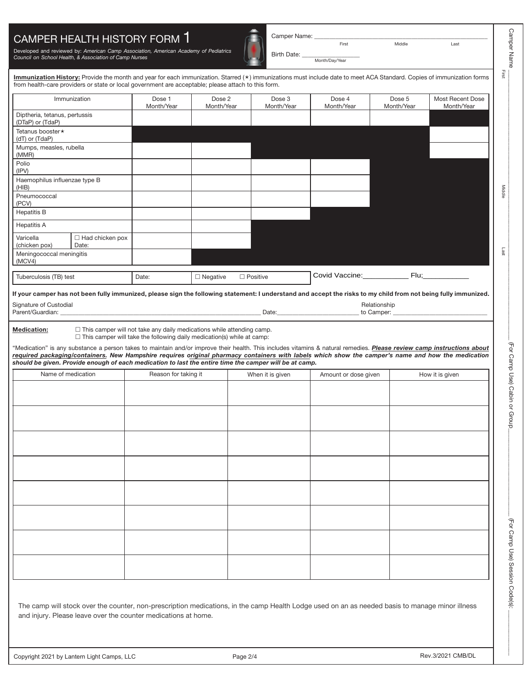## CAMPER HEALTH HISTORY FORM 1

Developed and reviewed by: *American Camp Association, American Academy of Pediatrics Council on School Health, & Association of Camp Nurses*

Birth Date:

Camper Name: \_\_\_\_\_\_\_\_\_\_\_\_\_\_\_\_\_\_\_\_\_\_\_\_\_\_\_\_\_\_\_\_\_\_\_\_\_\_\_\_\_\_\_\_\_\_\_\_\_\_\_\_\_\_\_\_\_

Middle Last

Month/Day/Year

Immunization History: Provide the month and year for each immunization. Starred (\*) immunizations must include date to meet ACA Standard. Copies of immunization forms from health-care providers or state or local government are acceptable; please attach to this form.

|                                                   | Immunization                    | Dose 1<br>Month/Year | Dose 2<br>Month/Year | Dose 3<br>Month/Year | Dose 4<br>Month/Year | Dose 5<br>Month/Year | Most Recent Dose<br>Month/Year |
|---------------------------------------------------|---------------------------------|----------------------|----------------------|----------------------|----------------------|----------------------|--------------------------------|
| Diptheria, tetanus, pertussis<br>(DTaP) or (TdaP) |                                 |                      |                      |                      |                      |                      |                                |
| Tetanus booster ★<br>(dT) or (TdaP)               |                                 |                      |                      |                      |                      |                      |                                |
| Mumps, measles, rubella<br>(MMR)                  |                                 |                      |                      |                      |                      |                      |                                |
| Polio<br>(IPV)                                    |                                 |                      |                      |                      |                      |                      |                                |
| Haemophilus influenzae type B<br>(HIB)            |                                 |                      |                      |                      |                      |                      |                                |
| Pneumococcal<br>(PCV)                             |                                 |                      |                      |                      |                      |                      |                                |
| <b>Hepatitis B</b>                                |                                 |                      |                      |                      |                      |                      |                                |
| <b>Hepatitis A</b>                                |                                 |                      |                      |                      |                      |                      |                                |
| Varicella<br>(chicken pox)                        | $\Box$ Had chicken pox<br>Date: |                      |                      |                      |                      |                      |                                |
| Meningococcal meningitis<br>(MCV4)                |                                 |                      |                      |                      |                      |                      |                                |
| Tuberculosis (TB) test                            |                                 | Date:                | $\Box$ Negative      | $\Box$ Positive      | Covid Vaccine:       | $Flu$ ;              |                                |

**If your camper has not been fully immunized, please sign the following statement: I understand and accept the risks to my child from not being fully immunized.**

| $\sim$<br>Signature of 1<br>Custodial |      | $\cdots$<br>Relationship |
|---------------------------------------|------|--------------------------|
| Parent/Gu<br>'Guardian:               | Date | Camper:<br>tΟ            |

**Medication:**  $\square$  This camper will not take any daily medications while attending camp.  $\Box$  This camper will take the following daily medication(s) while at camp:

"Medication" is any substance a person takes to maintain and/or improve their health. This includes vitamins & natural remedies. *Please review camp instructions about required packaging/containers. New Hampshire requires original pharmacy containers with labels which show the camper's name and how the medication should be given. Provide enough of each medication to last the entire time the camper will be at camp.*

| Name of medication | Reason for taking it | When it is given | Amount or dose given | How it is given |
|--------------------|----------------------|------------------|----------------------|-----------------|
|                    |                      |                  |                      |                 |
|                    |                      |                  |                      |                 |
|                    |                      |                  |                      |                 |
|                    |                      |                  |                      |                 |
|                    |                      |                  |                      |                 |
|                    |                      |                  |                      |                 |
|                    |                      |                  |                      |                 |
|                    |                      |                  |                      |                 |
|                    |                      |                  |                      |                 |

The camp will stock over the counter, non-prescription medications, in the camp Health Lodge used on an as needed basis to manage minor illness and injury. Please leave over the counter medications at home.

(For Camp Use) Session Code(s)

Camper Name

**Camper Name** 

First

First Middle Last Middle Last Middle Last Middle Last Middle Last Middle Last Middle Last Middle Last Middle L

Middle

Last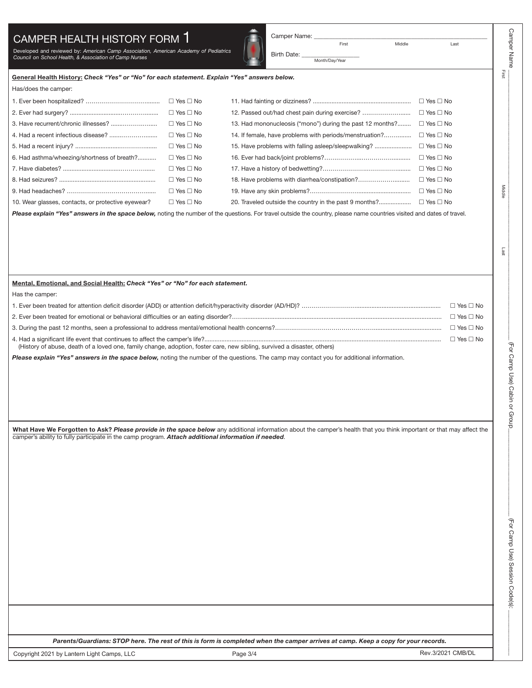## CAMPER HEALTH HISTORY FORM 1

Developed and reviewed by: *American Camp Association, American Academy of Pediatrics Council on School Health, & Association of Camp Nurses*

First **Middle** Last

Birth Date: Month/Day/Year

Camper Name: \_

Camper Name

**Camper Name** 

First

 $\pi$  , and the contribution of  $\pi$  and  $\pi$  and  $\pi$  and  $\pi$  (  $\pi$  ) and  $\pi$  (  $\pi$  )  $\pi$  (  $\pi$  )  $\pi$ 

First Middle Last Middle Last Middle Last Middle Last Middle Last Middle Last Middle Last Middle Last Middle L

Middle

Last

(For Camp Use) Cabin or Group

Camp Use) Cabin or Group\_\_\_\_\_\_\_\_\_\_\_\_\_\_\_\_\_\_\_\_\_\_\_\_\_\_\_\_\_ (For Camp Use) Session Code(s): \_\_\_\_\_\_\_\_\_\_\_\_\_\_\_

(For Camp Use) Session Code(s)

|  |  |  | General Health History: Check "Yes" or "No" for each statement. Explain "Yes" answers below. |  |  |
|--|--|--|----------------------------------------------------------------------------------------------|--|--|
|  |  |  |                                                                                              |  |  |

Has/does the camper:

|                                                    | $\Box$ Yes $\Box$ No |                                                           | $\Box$ Yes $\Box$ No |
|----------------------------------------------------|----------------------|-----------------------------------------------------------|----------------------|
|                                                    | $\Box$ Yes $\Box$ No | 12. Passed out/had chest pain during exercise?            | $\Box$ Yes $\Box$ No |
|                                                    | $\Box$ Yes $\Box$ No | 13. Had mononucleosis ("mono") during the past 12 months? | $\Box$ Yes $\Box$ No |
|                                                    | $\Box$ Yes $\Box$ No | 14. If female, have problems with periods/menstruation?   | $\Box$ Yes $\Box$ No |
|                                                    | $\Box$ Yes $\Box$ No | 15. Have problems with falling asleep/sleepwalking?       | $\Box$ Yes $\Box$ No |
| 6. Had asthma/wheezing/shortness of breath?        | $\Box$ Yes $\Box$ No |                                                           | $\Box$ Yes $\Box$ No |
|                                                    | $\Box$ Yes $\Box$ No |                                                           | $\Box$ Yes $\Box$ No |
|                                                    | $\Box$ Yes $\Box$ No | 18. Have problems with diarrhea/constipation?             | $\Box$ Yes $\Box$ No |
|                                                    | $\Box$ Yes $\Box$ No |                                                           | $\Box$ Yes $\Box$ No |
| 10. Wear glasses, contacts, or protective eyewear? | $\Box$ Yes $\Box$ No | 20. Traveled outside the country in the past 9 months?    | $\Box$ Yes $\Box$ No |

Please explain "Yes" answers in the space below, noting the number of the questions. For travel outside the country, please name countries visited and dates of travel.

## **Mental, Emotional, and Social Health:** *Check "Yes" or "No" for each statement.*

Has the camper:

|                                                                                                                          | $\Box$ Yes $\Box$ No |
|--------------------------------------------------------------------------------------------------------------------------|----------------------|
|                                                                                                                          |                      |
| (History of abuse, death of a loved one, family change, adoption, foster care, new sibling, survived a disaster, others) | $\Box$ Yes $\Box$ No |

Please explain "Yes" answers in the space below, noting the number of the questions. The camp may contact you for additional information.

**What Have We Forgotten to Ask?** *Please provide in the space below* any additional information about the camper's health that you think important or that may affect the camper's ability to fully participate in the camp program. *Attach additional information if needed*.

*Parents/Guardians: STOP here. The rest of this is form is completed when the camper arrives at camp. Keep a copy for your records.*